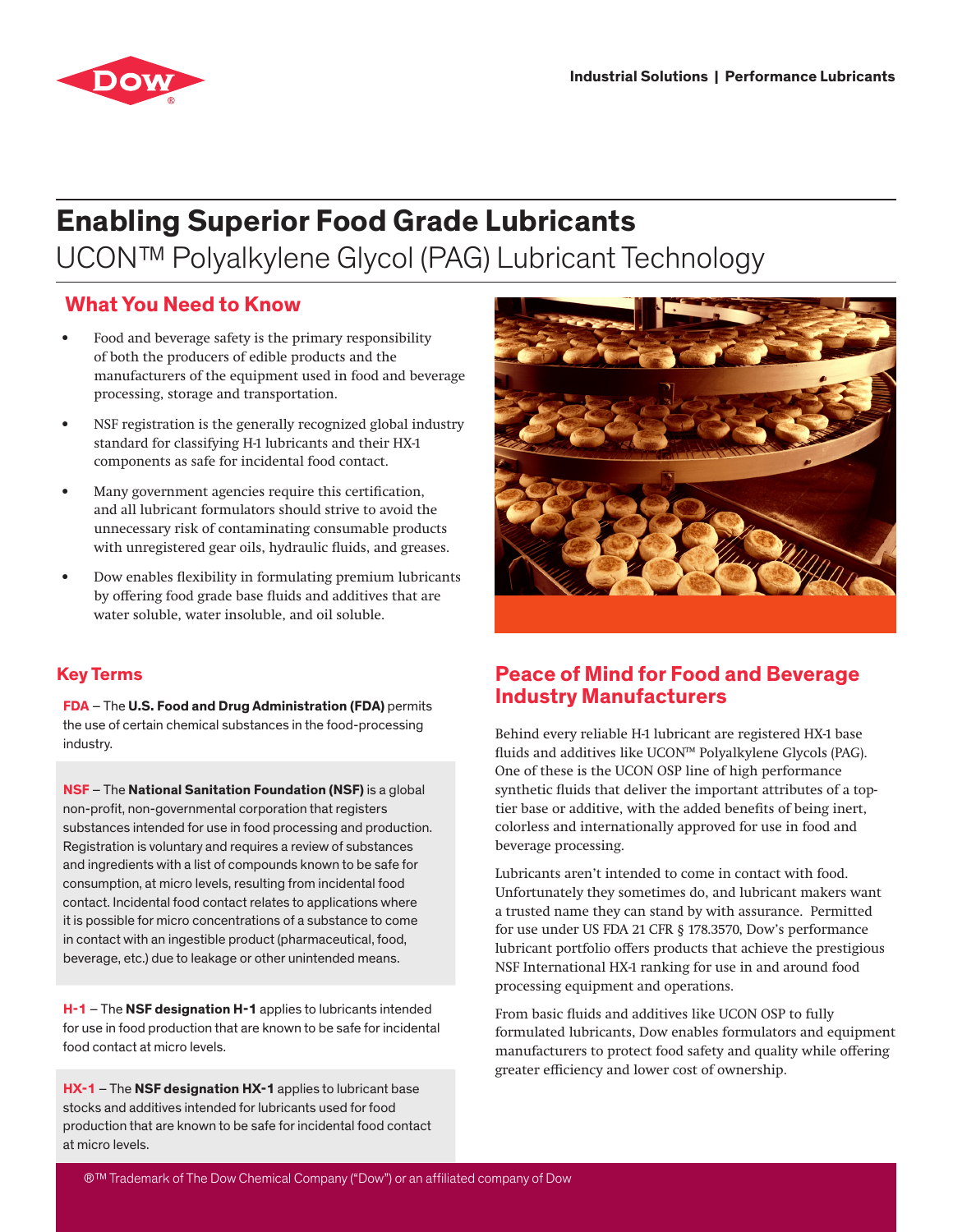

# **Enabling Superior Food Grade Lubricants** UCON™ Polyalkylene Glycol (PAG) Lubricant Technology

# **What You Need to Know**

- Food and beverage safety is the primary responsibility of both the producers of edible products and the manufacturers of the equipment used in food and beverage processing, storage and transportation.
- NSF registration is the generally recognized global industry standard for classifying H-1 lubricants and their HX-1 components as safe for incidental food contact.
- Many government agencies require this certification, and all lubricant formulators should strive to avoid the unnecessary risk of contaminating consumable products with unregistered gear oils, hydraulic fluids, and greases.
- Dow enables flexibility in formulating premium lubricants by offering food grade base fluids and additives that are water soluble, water insoluble, and oil soluble.

### **Key Terms**

**FDA** – The **U.S. Food and Drug Administration (FDA)** permits the use of certain chemical substances in the food-processing industry.

**NSF** – The **National Sanitation Foundation (NSF)** is a global non-profit, non-governmental corporation that registers substances intended for use in food processing and production. Registration is voluntary and requires a review of substances and ingredients with a list of compounds known to be safe for consumption, at micro levels, resulting from incidental food contact. Incidental food contact relates to applications where it is possible for micro concentrations of a substance to come in contact with an ingestible product (pharmaceutical, food, beverage, etc.) due to leakage or other unintended means.

**H-1** – The **NSF designation H-1** applies to lubricants intended for use in food production that are known to be safe for incidental food contact at micro levels.

**HX-1** – The **NSF designation HX-1** applies to lubricant base stocks and additives intended for lubricants used for food production that are known to be safe for incidental food contact at micro levels.



## **Peace of Mind for Food and Beverage Industry Manufacturers**

Behind every reliable H-1 lubricant are registered HX-1 base fluids and additives like UCON™ Polyalkylene Glycols (PAG). One of these is the UCON OSP line of high performance synthetic fluids that deliver the important attributes of a toptier base or additive, with the added benefits of being inert, colorless and internationally approved for use in food and beverage processing.

Lubricants aren't intended to come in contact with food. Unfortunately they sometimes do, and lubricant makers want a trusted name they can stand by with assurance. Permitted for use under US FDA 21 CFR § 178.3570, Dow's performance lubricant portfolio offers products that achieve the prestigious NSF International HX-1 ranking for use in and around food processing equipment and operations.

From basic fluids and additives like UCON OSP to fully formulated lubricants, Dow enables formulators and equipment manufacturers to protect food safety and quality while offering greater efficiency and lower cost of ownership.